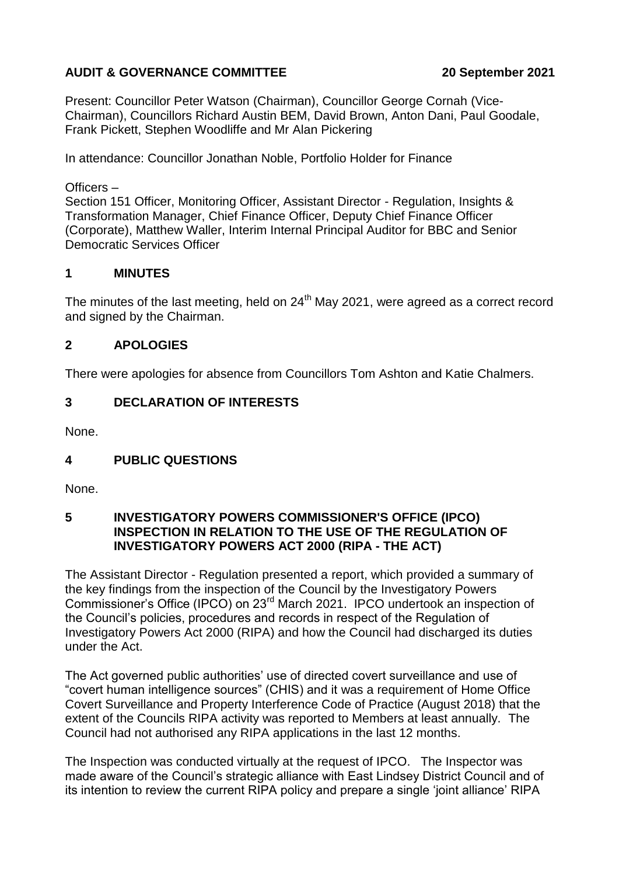# **AUDIT & GOVERNANCE COMMITTEE 20 September 2021**

Present: Councillor Peter Watson (Chairman), Councillor George Cornah (Vice-Chairman), Councillors Richard Austin BEM, David Brown, Anton Dani, Paul Goodale, Frank Pickett, Stephen Woodliffe and Mr Alan Pickering

In attendance: Councillor Jonathan Noble, Portfolio Holder for Finance

Officers –

Section 151 Officer, Monitoring Officer, Assistant Director - Regulation, Insights & Transformation Manager, Chief Finance Officer, Deputy Chief Finance Officer (Corporate), Matthew Waller, Interim Internal Principal Auditor for BBC and Senior Democratic Services Officer

## **1 MINUTES**

The minutes of the last meeting, held on  $24<sup>th</sup>$  May 2021, were agreed as a correct record and signed by the Chairman.

## **2 APOLOGIES**

There were apologies for absence from Councillors Tom Ashton and Katie Chalmers.

## **3 DECLARATION OF INTERESTS**

None.

## **4 PUBLIC QUESTIONS**

None.

#### **5 INVESTIGATORY POWERS COMMISSIONER'S OFFICE (IPCO) INSPECTION IN RELATION TO THE USE OF THE REGULATION OF INVESTIGATORY POWERS ACT 2000 (RIPA - THE ACT)**

The Assistant Director - Regulation presented a report, which provided a summary of the key findings from the inspection of the Council by the Investigatory Powers Commissioner's Office (IPCO) on 23rd March 2021. IPCO undertook an inspection of the Council's policies, procedures and records in respect of the Regulation of Investigatory Powers Act 2000 (RIPA) and how the Council had discharged its duties under the Act.

The Act governed public authorities' use of directed covert surveillance and use of "covert human intelligence sources" (CHIS) and it was a requirement of Home Office Covert Surveillance and Property Interference Code of Practice (August 2018) that the extent of the Councils RIPA activity was reported to Members at least annually. The Council had not authorised any RIPA applications in the last 12 months.

The Inspection was conducted virtually at the request of IPCO. The Inspector was made aware of the Council's strategic alliance with East Lindsey District Council and of its intention to review the current RIPA policy and prepare a single 'joint alliance' RIPA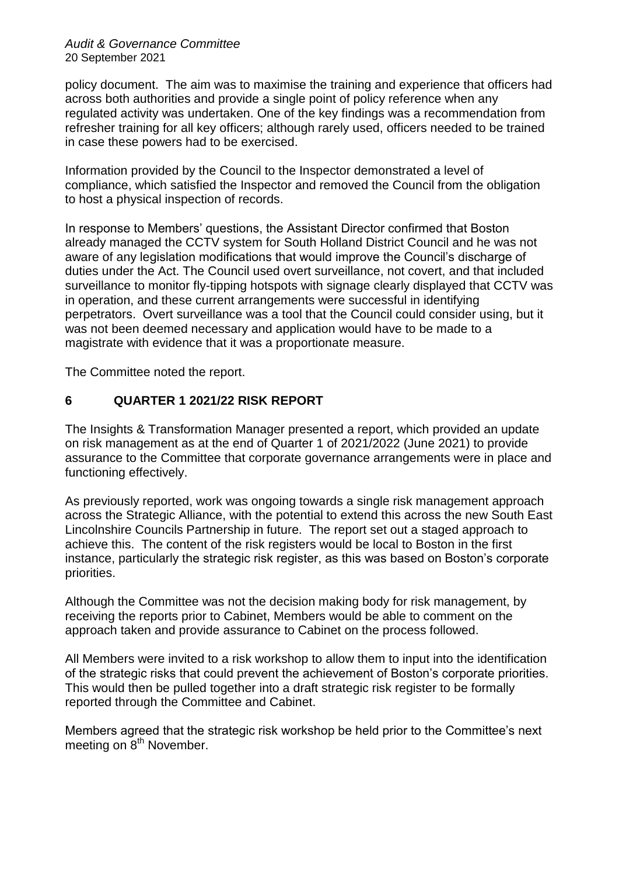#### *Audit & Governance Committee* 20 September 2021

policy document. The aim was to maximise the training and experience that officers had across both authorities and provide a single point of policy reference when any regulated activity was undertaken. One of the key findings was a recommendation from refresher training for all key officers; although rarely used, officers needed to be trained in case these powers had to be exercised.

Information provided by the Council to the Inspector demonstrated a level of compliance, which satisfied the Inspector and removed the Council from the obligation to host a physical inspection of records.

In response to Members' questions, the Assistant Director confirmed that Boston already managed the CCTV system for South Holland District Council and he was not aware of any legislation modifications that would improve the Council's discharge of duties under the Act. The Council used overt surveillance, not covert, and that included surveillance to monitor fly-tipping hotspots with signage clearly displayed that CCTV was in operation, and these current arrangements were successful in identifying perpetrators. Overt surveillance was a tool that the Council could consider using, but it was not been deemed necessary and application would have to be made to a magistrate with evidence that it was a proportionate measure.

The Committee noted the report.

# **6 QUARTER 1 2021/22 RISK REPORT**

The Insights & Transformation Manager presented a report, which provided an update on risk management as at the end of Quarter 1 of 2021/2022 (June 2021) to provide assurance to the Committee that corporate governance arrangements were in place and functioning effectively.

As previously reported, work was ongoing towards a single risk management approach across the Strategic Alliance, with the potential to extend this across the new South East Lincolnshire Councils Partnership in future. The report set out a staged approach to achieve this. The content of the risk registers would be local to Boston in the first instance, particularly the strategic risk register, as this was based on Boston's corporate priorities.

Although the Committee was not the decision making body for risk management, by receiving the reports prior to Cabinet, Members would be able to comment on the approach taken and provide assurance to Cabinet on the process followed.

All Members were invited to a risk workshop to allow them to input into the identification of the strategic risks that could prevent the achievement of Boston's corporate priorities. This would then be pulled together into a draft strategic risk register to be formally reported through the Committee and Cabinet.

Members agreed that the strategic risk workshop be held prior to the Committee's next meeting on  $8<sup>th</sup>$  November.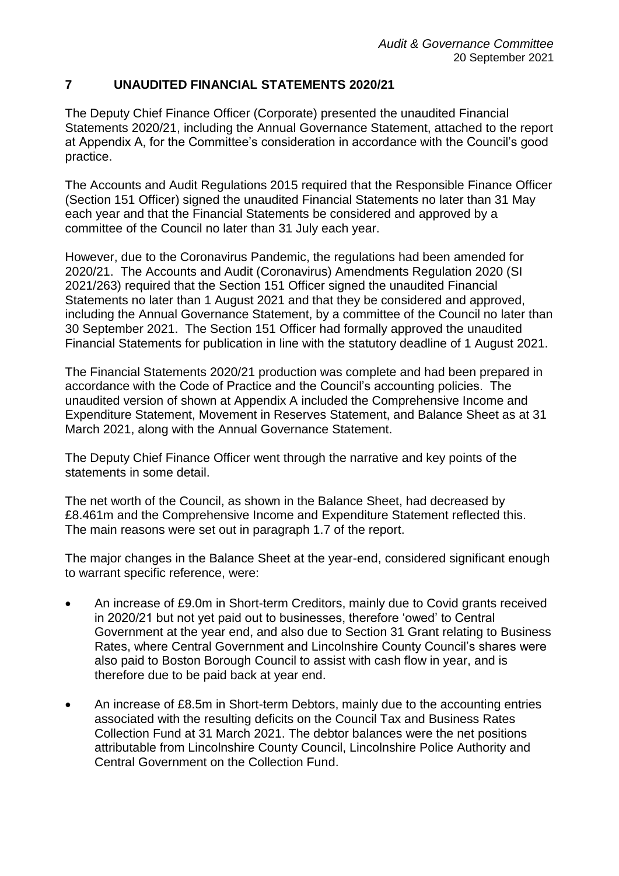## **7 UNAUDITED FINANCIAL STATEMENTS 2020/21**

The Deputy Chief Finance Officer (Corporate) presented the unaudited Financial Statements 2020/21, including the Annual Governance Statement, attached to the report at Appendix A, for the Committee's consideration in accordance with the Council's good practice.

The Accounts and Audit Regulations 2015 required that the Responsible Finance Officer (Section 151 Officer) signed the unaudited Financial Statements no later than 31 May each year and that the Financial Statements be considered and approved by a committee of the Council no later than 31 July each year.

However, due to the Coronavirus Pandemic, the regulations had been amended for 2020/21. The Accounts and Audit (Coronavirus) Amendments Regulation 2020 (SI 2021/263) required that the Section 151 Officer signed the unaudited Financial Statements no later than 1 August 2021 and that they be considered and approved, including the Annual Governance Statement, by a committee of the Council no later than 30 September 2021. The Section 151 Officer had formally approved the unaudited Financial Statements for publication in line with the statutory deadline of 1 August 2021.

The Financial Statements 2020/21 production was complete and had been prepared in accordance with the Code of Practice and the Council's accounting policies. The unaudited version of shown at Appendix A included the Comprehensive Income and Expenditure Statement, Movement in Reserves Statement, and Balance Sheet as at 31 March 2021, along with the Annual Governance Statement.

The Deputy Chief Finance Officer went through the narrative and key points of the statements in some detail.

The net worth of the Council, as shown in the Balance Sheet, had decreased by £8.461m and the Comprehensive Income and Expenditure Statement reflected this. The main reasons were set out in paragraph 1.7 of the report.

The major changes in the Balance Sheet at the year-end, considered significant enough to warrant specific reference, were:

- An increase of £9.0m in Short-term Creditors, mainly due to Covid grants received in 2020/21 but not yet paid out to businesses, therefore 'owed' to Central Government at the year end, and also due to Section 31 Grant relating to Business Rates, where Central Government and Lincolnshire County Council's shares were also paid to Boston Borough Council to assist with cash flow in year, and is therefore due to be paid back at year end.
- An increase of £8.5m in Short-term Debtors, mainly due to the accounting entries associated with the resulting deficits on the Council Tax and Business Rates Collection Fund at 31 March 2021. The debtor balances were the net positions attributable from Lincolnshire County Council, Lincolnshire Police Authority and Central Government on the Collection Fund.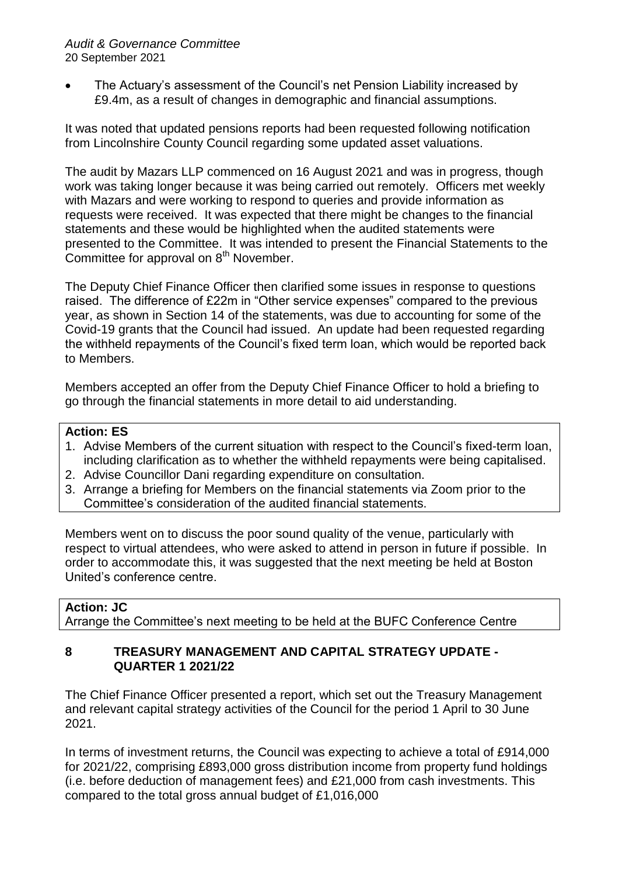The Actuary's assessment of the Council's net Pension Liability increased by £9.4m, as a result of changes in demographic and financial assumptions.

It was noted that updated pensions reports had been requested following notification from Lincolnshire County Council regarding some updated asset valuations.

The audit by Mazars LLP commenced on 16 August 2021 and was in progress, though work was taking longer because it was being carried out remotely. Officers met weekly with Mazars and were working to respond to queries and provide information as requests were received. It was expected that there might be changes to the financial statements and these would be highlighted when the audited statements were presented to the Committee. It was intended to present the Financial Statements to the Committee for approval on  $8<sup>th</sup>$  November.

The Deputy Chief Finance Officer then clarified some issues in response to questions raised. The difference of £22m in "Other service expenses" compared to the previous year, as shown in Section 14 of the statements, was due to accounting for some of the Covid-19 grants that the Council had issued. An update had been requested regarding the withheld repayments of the Council's fixed term loan, which would be reported back to Members.

Members accepted an offer from the Deputy Chief Finance Officer to hold a briefing to go through the financial statements in more detail to aid understanding.

## **Action: ES**

- 1. Advise Members of the current situation with respect to the Council's fixed-term loan, including clarification as to whether the withheld repayments were being capitalised.
- 2. Advise Councillor Dani regarding expenditure on consultation.
- 3. Arrange a briefing for Members on the financial statements via Zoom prior to the Committee's consideration of the audited financial statements.

Members went on to discuss the poor sound quality of the venue, particularly with respect to virtual attendees, who were asked to attend in person in future if possible. In order to accommodate this, it was suggested that the next meeting be held at Boston United's conference centre.

#### **Action: JC**

Arrange the Committee's next meeting to be held at the BUFC Conference Centre

#### **8 TREASURY MANAGEMENT AND CAPITAL STRATEGY UPDATE - QUARTER 1 2021/22**

The Chief Finance Officer presented a report, which set out the Treasury Management and relevant capital strategy activities of the Council for the period 1 April to 30 June 2021.

In terms of investment returns, the Council was expecting to achieve a total of £914,000 for 2021/22, comprising £893,000 gross distribution income from property fund holdings (i.e. before deduction of management fees) and £21,000 from cash investments. This compared to the total gross annual budget of £1,016,000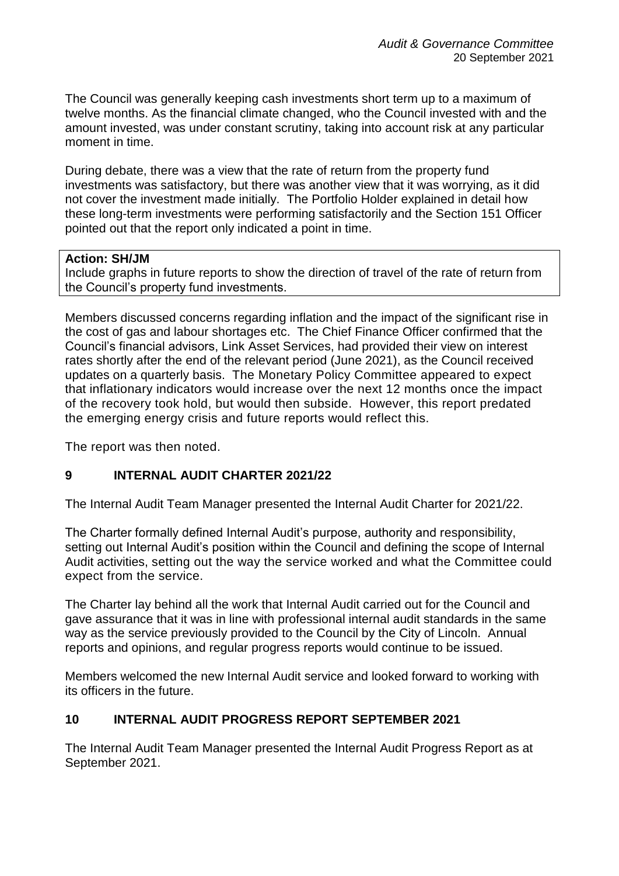The Council was generally keeping cash investments short term up to a maximum of twelve months. As the financial climate changed, who the Council invested with and the amount invested, was under constant scrutiny, taking into account risk at any particular moment in time.

During debate, there was a view that the rate of return from the property fund investments was satisfactory, but there was another view that it was worrying, as it did not cover the investment made initially. The Portfolio Holder explained in detail how these long-term investments were performing satisfactorily and the Section 151 Officer pointed out that the report only indicated a point in time.

#### **Action: SH/JM**

Include graphs in future reports to show the direction of travel of the rate of return from the Council's property fund investments.

Members discussed concerns regarding inflation and the impact of the significant rise in the cost of gas and labour shortages etc. The Chief Finance Officer confirmed that the Council's financial advisors, Link Asset Services, had provided their view on interest rates shortly after the end of the relevant period (June 2021), as the Council received updates on a quarterly basis. The Monetary Policy Committee appeared to expect that inflationary indicators would increase over the next 12 months once the impact of the recovery took hold, but would then subside. However, this report predated the emerging energy crisis and future reports would reflect this.

The report was then noted.

## **9 INTERNAL AUDIT CHARTER 2021/22**

The Internal Audit Team Manager presented the Internal Audit Charter for 2021/22.

The Charter formally defined Internal Audit's purpose, authority and responsibility, setting out Internal Audit's position within the Council and defining the scope of Internal Audit activities, setting out the way the service worked and what the Committee could expect from the service.

The Charter lay behind all the work that Internal Audit carried out for the Council and gave assurance that it was in line with professional internal audit standards in the same way as the service previously provided to the Council by the City of Lincoln. Annual reports and opinions, and regular progress reports would continue to be issued.

Members welcomed the new Internal Audit service and looked forward to working with its officers in the future.

#### **10 INTERNAL AUDIT PROGRESS REPORT SEPTEMBER 2021**

The Internal Audit Team Manager presented the Internal Audit Progress Report as at September 2021.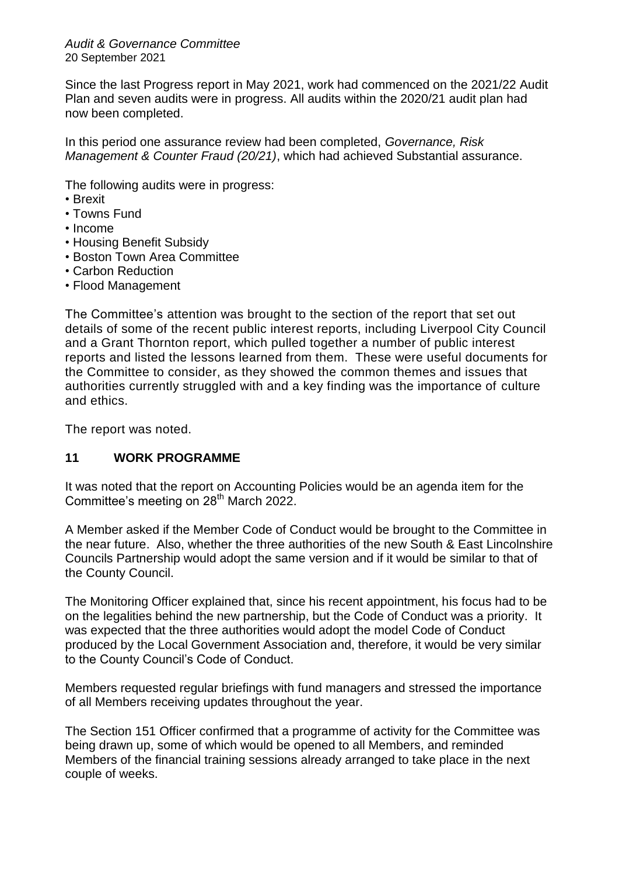Since the last Progress report in May 2021, work had commenced on the 2021/22 Audit Plan and seven audits were in progress. All audits within the 2020/21 audit plan had now been completed.

In this period one assurance review had been completed, *Governance, Risk Management & Counter Fraud (20/21)*, which had achieved Substantial assurance.

The following audits were in progress:

- Brexit
- Towns Fund
- Income
- Housing Benefit Subsidy
- Boston Town Area Committee
- Carbon Reduction
- Flood Management

The Committee's attention was brought to the section of the report that set out details of some of the recent public interest reports, including Liverpool City Council and a Grant Thornton report, which pulled together a number of public interest reports and listed the lessons learned from them. These were useful documents for the Committee to consider, as they showed the common themes and issues that authorities currently struggled with and a key finding was the importance of culture and ethics.

The report was noted.

## **11 WORK PROGRAMME**

It was noted that the report on Accounting Policies would be an agenda item for the Committee's meeting on 28<sup>th</sup> March 2022.

A Member asked if the Member Code of Conduct would be brought to the Committee in the near future. Also, whether the three authorities of the new South & East Lincolnshire Councils Partnership would adopt the same version and if it would be similar to that of the County Council.

The Monitoring Officer explained that, since his recent appointment, his focus had to be on the legalities behind the new partnership, but the Code of Conduct was a priority. It was expected that the three authorities would adopt the model Code of Conduct produced by the Local Government Association and, therefore, it would be very similar to the County Council's Code of Conduct.

Members requested regular briefings with fund managers and stressed the importance of all Members receiving updates throughout the year.

The Section 151 Officer confirmed that a programme of activity for the Committee was being drawn up, some of which would be opened to all Members, and reminded Members of the financial training sessions already arranged to take place in the next couple of weeks.